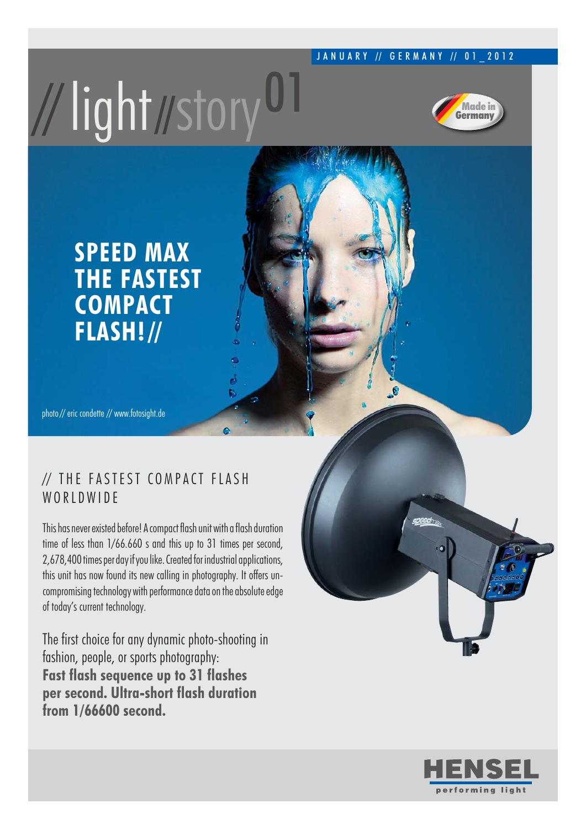#### JANUARY // GERMANY // 01 2012

# //light//story<sup>U1</sup>



### **SPEED MAX THE FASTEST COMPACT FLASH! //**

photo // eric condette // www.fotosight.de

#### // THE FASTEST COMPACT FLASH WORLDWIDE

This has never existed before! A compact flash unit with a flash duration time of less than 1/66.660 s and this up to 31 times per second, 2,678,400 times per day if you like. Created for industrial applications, this unit has now found its new calling in photography. It offers uncompromising technology with performance data on the absolute edge of today's current technology.

The first choice for any dynamic photo-shooting in fashion, people, or sports photography: **Fast flash sequence up to 31 flashes per second. Ultra-short flash duration from 1/66600 second.**

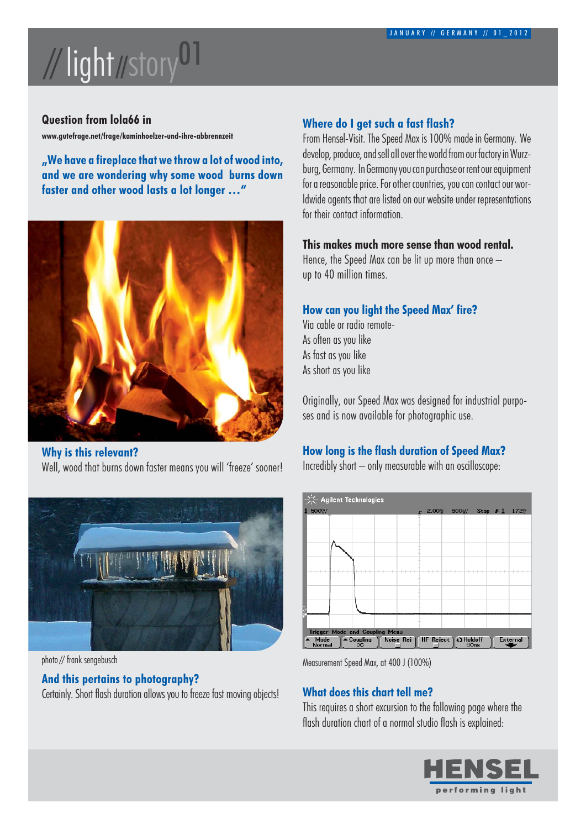# // light //story01

#### **Question from lola66 in**

**www.gutefrage.net/frage/kaminhoelzer-und-ihre-abbrennzeit**

**-We have a fireplace that we throw a lot of wood into, and we are wondering why some wood burns down faster and other wood lasts a lot longer** 



**Why is this relevant?** Well, wood that burns down faster means you will 'freeze' sooner!



photo // frank sengebusch

#### **And this pertains to photography?**

Certainly. Short flash duration allows you to freeze fast moving objects!

#### **Where do I get such a fast flash?**

From Hensel-Visit. The Speed Max is 100% made in Germany. We develop, produce, and sell all over the world from our factory in Wurzburg, Germany. In Germany you can purchase or rent our equipment for a reasonable price. For other countries, you can contact our worldwide agents that are listed on our website under representations for their contact information.

#### **This makes much more sense than wood rental.**

Hence, the Speed Max can be lit up more than once up to 40 million times.

#### **How can you light the Speed Max' fire?**

Via cable or radio remote-As often as you like As fast as you like As short as you like

Originally, our Speed Max was designed for industrial purposes and is now available for photographic use.

#### **How long is the flash duration of Speed Max?**

Incredibly short  $-$  only measurable with an oscilloscope:



Measurement Speed Max, at 400 J (100%)

#### **What does this chart tell me?**

This requires a short excursion to the following page where the flash duration chart of a normal studio flash is explained:

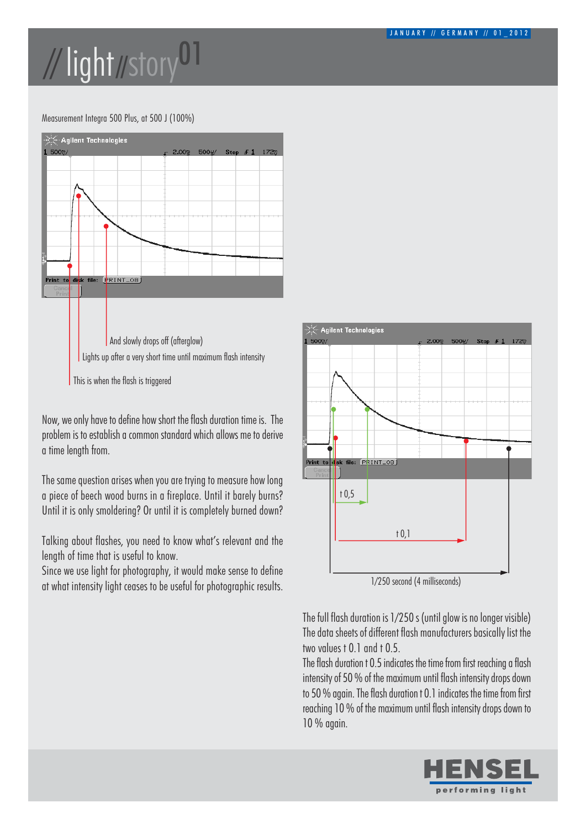## // light //story01

#### Measurement Integra 500 Plus, at 500 J (100%)



Now, we only have to define how short the flash duration time is. The problem is to establish a common standard which allows me to derive a time length from.

The same question arises when you are trying to measure how long a piece of beech wood burns in a fireplace. Until it barely burns? Until it is only smoldering? Or until it is completely burned down?

Talking about flashes, you need to know what's relevant and the length of time that is useful to know.

Since we use light for photography, it would make sense to define at what intensity light ceases to be useful for photographic results.



1/250 second (4 milliseconds)

The full flash duration is 1/250 s (until glow is no longer visible) The data sheets of different flash manufacturers basically list the two values t 0.1 and t 0.5.

The flash duration t 0.5 indicates the time from first reaching a flash intensity of 50 % of the maximum until flash intensity drops down to 50 % again. The flash duration t 0.1 indicates the time from first reaching 10 % of the maximum until flash intensity drops down to 10 % again.

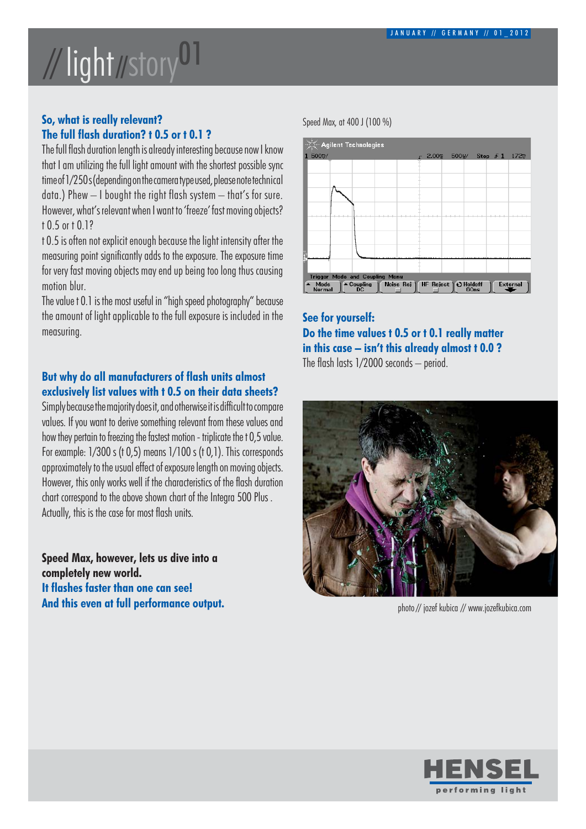### // light //story01

#### **So, what is really relevant? The full flash duration? t 0.5 or t 0.1 ?**

The full flash duration length is already interesting because now I know that I am utilizing the full light amount with the shortest possible sync time of 1/250 s (depending on the camera type used, please note technical data.) Phew — I bought the right flash system — that's for sure. However, what's relevant when I want to 'freeze' fast moving objects? t 0.5 or t 0.1?

t 0.5 is often not explicit enough because the light intensity after the measuring point significantly adds to the exposure. The exposure time for very fast moving objects may end up being too long thus causing motion blur.

The value t 0.1 is the most useful in "high speed photography" because the amount of light applicable to the full exposure is included in the measuring.

#### **But why do all manufacturers of flash units almost exclusively list values with t 0.5 on their data sheets?**

Simply because the majority does it, and otherwise it is difficult to compare values. If you want to derive something relevant from these values and how they pertain to freezing the fastest motion - triplicate the t 0,5 value. For example: 1/300 s (t 0,5) means 1/100 s (t 0,1). This corresponds approximately to the usual effect of exposure length on moving objects. However, this only works well if the characteristics of the flash duration chart correspond to the above shown chart of the Integra 500 Plus . Actually, this is the case for most flash units.

**Speed Max, however, lets us dive into a completely new world. It flashes faster than one can see! And this even at full performance output.** Speed Max, at 400 J (100 %)



#### **See for yourself: Do the time values t 0.5 or t 0.1 really matter in this case - isnt this already almost t 0.0 ?** The flash lasts  $1/2000$  seconds  $-$  period.



photo // jozef kubica // www.jozefkubica.com

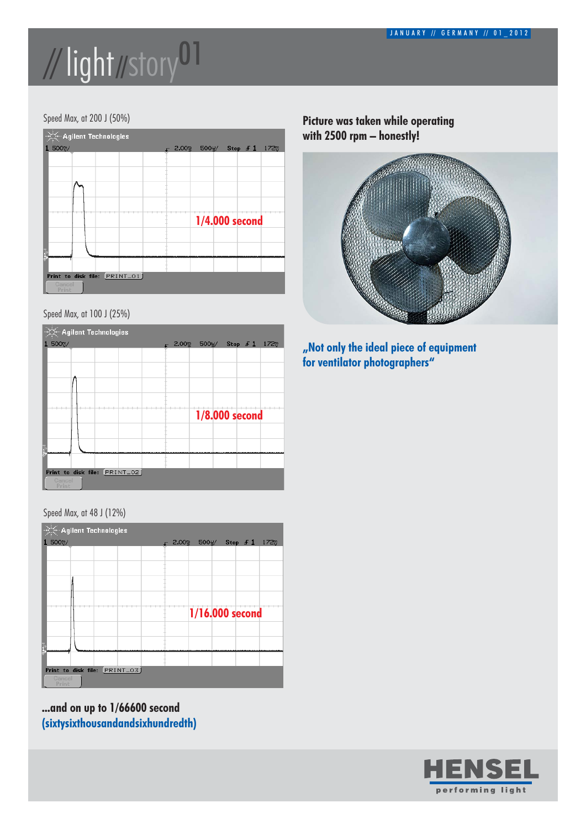## //light//story01

#### Speed Max, at 200 J (50%)



#### Speed Max, at 100 J (25%)



Speed Max, at 48 J (12%)



**...and on up to 1/66600 second (sixtysixthousandandsixhundredth)**

#### **Picture was taken while operating with 2500 rpm - honestly!**



**Not only the ideal piece of equipment for ventilator photographers**